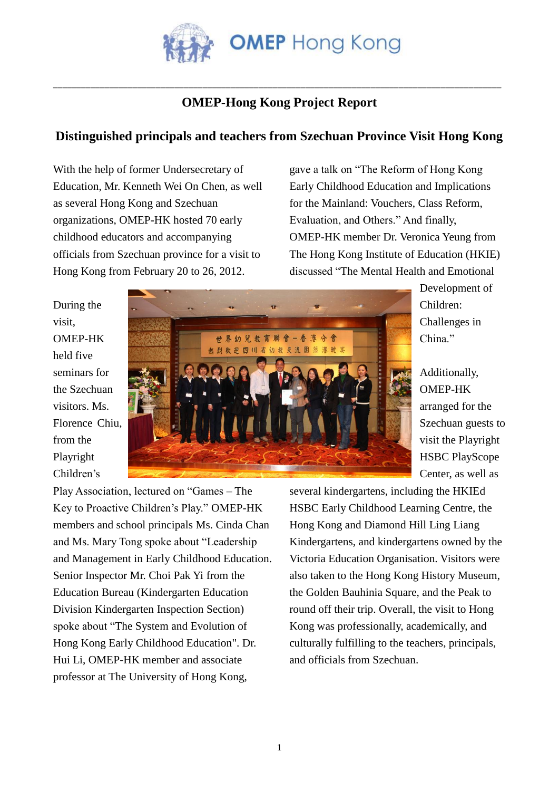

## \_\_\_\_\_\_\_\_\_\_\_\_\_\_\_\_\_\_\_\_\_\_\_\_\_\_\_\_\_\_\_\_\_\_\_\_\_\_\_\_\_\_\_\_\_\_\_\_\_\_\_\_\_\_\_\_\_\_\_\_\_\_\_\_\_\_\_\_\_\_\_\_\_\_\_\_\_\_\_\_\_\_\_\_\_\_\_\_\_\_\_\_\_\_\_\_ **OMEP-Hong Kong Project Report**

## **Distinguished principals and teachers from Szechuan Province Visit Hong Kong**

With the help of former Undersecretary of Education, Mr. Kenneth Wei On Chen, as well as several Hong Kong and Szechuan organizations, OMEP-HK hosted 70 early childhood educators and accompanying officials from Szechuan province for a visit to Hong Kong from February 20 to 26, 2012.

gave a talk on "The Reform of Hong Kong Early Childhood Education and Implications for the Mainland: Vouchers, Class Reform, Evaluation, and Others." And finally, OMEP-HK member Dr. Veronica Yeung from The Hong Kong Institute of Education (HKIE) discussed "The Mental Health and Emotional

During the visit, OMEP-HK held five seminars for the Szechuan visitors. Ms. Florence Chiu, from the Playright Children's



Development of Children: Challenges in China."

Additionally, OMEP-HK arranged for the Szechuan guests to visit the Playright HSBC PlayScope Center, as well as

Play Association, lectured on "Games – The Key to Proactive Children's Play." OMEP-HK members and school principals Ms. Cinda Chan and Ms. Mary Tong spoke about "Leadership and Management in Early Childhood Education. Senior Inspector Mr. Choi Pak Yi from the Education Bureau (Kindergarten Education Division Kindergarten Inspection Section) spoke about "The System and Evolution of Hong Kong Early Childhood Education". Dr. Hui Li, OMEP-HK member and associate professor at The University of Hong Kong,

several kindergartens, including the HKIEd HSBC Early Childhood Learning Centre, the Hong Kong and Diamond Hill Ling Liang Kindergartens, and kindergartens owned by the Victoria Education Organisation. Visitors were also taken to the Hong Kong History Museum, the Golden Bauhinia Square, and the Peak to round off their trip. Overall, the visit to Hong Kong was professionally, academically, and culturally fulfilling to the teachers, principals, and officials from Szechuan.